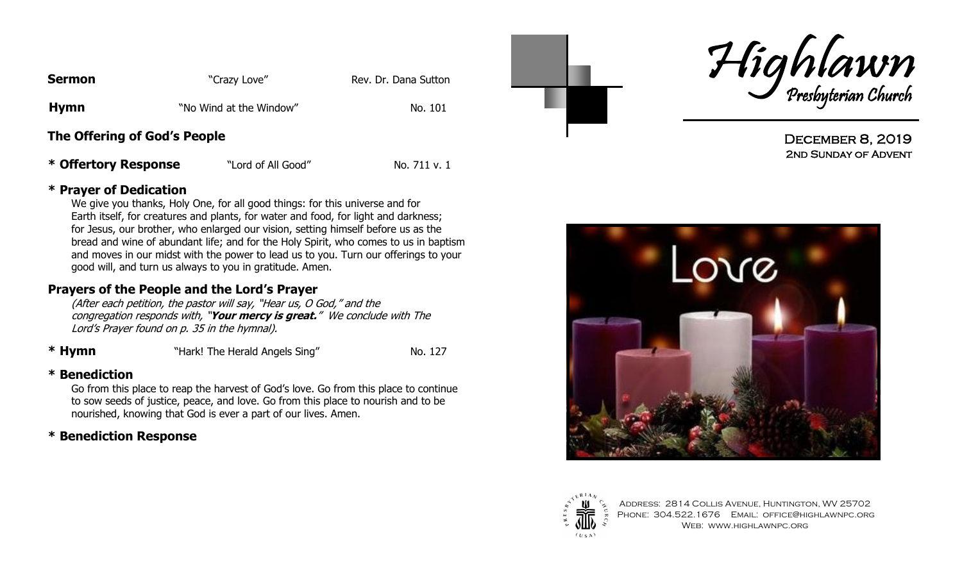| <b>Sermon</b>                | "Crazy Love"            | Rev. Dr. Dana Sutton |
|------------------------------|-------------------------|----------------------|
| <b>Hymn</b>                  | "No Wind at the Window" | No. 101              |
| The Offering of God's People |                         |                      |

\* **Offertory Response** "Lord of All Good" No. 711 v. 1

#### **\* Prayer of Dedication**

We give you thanks, Holy One, for all good things: for this universe and for Earth itself, for creatures and plants, for water and food, for light and darkness; for Jesus, our brother, who enlarged our vision, setting himself before us as the bread and wine of abundant life; and for the Holy Spirit, who comes to us in baptism and moves in our midst with the power to lead us to you. Turn our offerings to your good will, and turn us always to you in gratitude. Amen.

### **Prayers of the People and the Lord's Prayer**

(After each petition, the pastor will say, "Hear us, O God," and the congregation responds with, "**Your mercy is great.**" We conclude with The Lord"s Prayer found on p. 35 in the hymnal).

**\* Hymn** "Hark! The Herald Angels Sing" No. 127

### **\* Benediction**

Go from this place to reap the harvest of God"s love. Go from this place to continue to sow seeds of justice, peace, and love. Go from this place to nourish and to be nourished, knowing that God is ever a part of our lives. Amen.

# **\* Benediction Response**





DECEMBER 8, 2019 2nd Sunday of Advent





Address: 2814 Collis Avenue, Huntington, WV 25702 PHONE: 304.522.1676 EMAIL: OFFICE@HIGHLAWNPC.ORG Web: www.highlawnpc.org